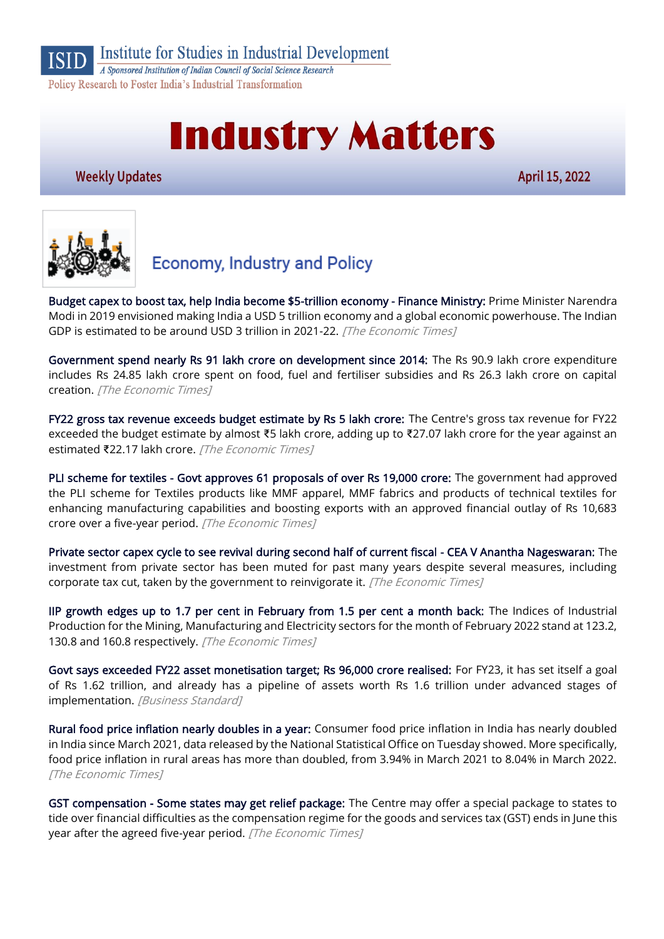

Institute for Studies in Industrial Development

A Sponsored Institution of Indian Council of Social Science Research Policy Research to Foster India's Industrial Transformation

# **Industry Matters**

**Weekly Updates** 

April 15, 2022



## **Economy, Industry and Policy**

[Budget capex to boost tax, help India become \\$5-trillion economy - Finance Ministry:](https://economictimes.indiatimes.com/news/economy/finance/increased-tax-revenue-mop-up-keeps-india-on-track-to-becoming-5-trn-economy-finance-ministry/articleshow/90846501.cms) Prime Minister Narendra Modi in 2019 envisioned making India a USD 5 trillion economy and a global economic powerhouse. The Indian GDP is estimated to be around USD 3 trillion in 2021-22. [The Economic Times]

[Government spend nearly Rs 91 lakh crore on development since 2014:](https://economictimes.indiatimes.com/industry/banking/finance/government-spend-nearly-rs-91-lakh-crore-on-development-since-2014/articleshow/90751174.cms) The Rs 90.9 lakh crore expenditure includes Rs 24.85 lakh crore spent on food, fuel and fertiliser subsidies and Rs 26.3 lakh crore on capital creation. [The Economic Times]

[FY22 gross tax revenue exceeds budget estimate by Rs 5 lakh crore:](https://economictimes.indiatimes.com/news/economy/finance/fy22-gross-tax-revenue-exceeds-budget-estimate-by-rs-5-lakh-crore/articleshow/90735167.cms) The Centre's gross tax revenue for FY22 exceeded the budget estimate by almost ₹5 lakh crore, adding up to ₹27.07 lakh crore for the year against an estimated ₹22.17 lakh crore. [The Economic Times]

[PLI scheme for textiles - Govt approves 61 proposals of over Rs 19,000 crore:](https://economictimes.indiatimes.com/news/economy/policy/govt-approves-61-proposals-of-over-rs-19000-cr-under-pli-scheme-for-textiles/articleshow/90845392.cms) The government had approved the PLI scheme for Textiles products like MMF apparel, MMF fabrics and products of technical textiles for enhancing manufacturing capabilities and boosting exports with an approved financial outlay of Rs 10,683 crore over a five-year period. [The Economic Times]

[Private sector capex cycle to see revival during second half of current fiscal - CEA V Anantha Nageswaran:](https://economictimes.indiatimes.com/news/economy/indicators/private-sector-capex-cycle-to-see-revival-during-second-half-of-current-fiscal-cea-v-anantha-nageswaran/articleshow/90802670.cms) The investment from private sector has been muted for past many years despite several measures, including corporate tax cut, taken by the government to reinvigorate it. [The Economic Times]

[IIP growth edges up to 1.7 per cent in February from 1.5 per cent a month back:](https://economictimes.indiatimes.com/news/economy/indicators/iip-growth-edges-up-to-1-7-per-cent-in-february-from-1-5-per-cent-a-month-back/articleshow/90800502.cms) The Indices of Industrial Production for the Mining, Manufacturing and Electricity sectors for the month of February 2022 stand at 123.2, 130.8 and 160.8 respectively. [The Economic Times]

[Govt says exceeded FY22 asset monetisation target; Rs 96,000 crore realised:](https://www.business-standard.com/article/finance/govt-says-exceeded-fy22-asset-monetisation-target-rs-96-000-crore-realised-122041201403_1.html) For FY23, it has set itself a goal of Rs 1.62 trillion, and already has a pipeline of assets worth Rs 1.6 trillion under advanced stages of implementation. [Business Standard]

[Rural food price inflation nearly doubles in a year:](https://economictimes.indiatimes.com/news/economy/indicators/rural-food-price-inflation-nearly-doubles-in-a-year/articleshow/90806597.cms) Consumer food price inflation in India has nearly doubled in India since March 2021, data released by the National Statistical Office on Tuesday showed. More specifically, food price inflation in rural areas has more than doubled, from 3.94% in March 2021 to 8.04% in March 2022. [The Economic Times]

[GST compensation - Some states may get relief package:](https://economictimes.indiatimes.com/news/economy/finance/gst-compensation-some-states-may-get-relief-package/articleshow/90788493.cms) The Centre may offer a special package to states to tide over financial difficulties as the compensation regime for the goods and services tax (GST) ends in June this year after the agreed five-year period. [The Economic Times]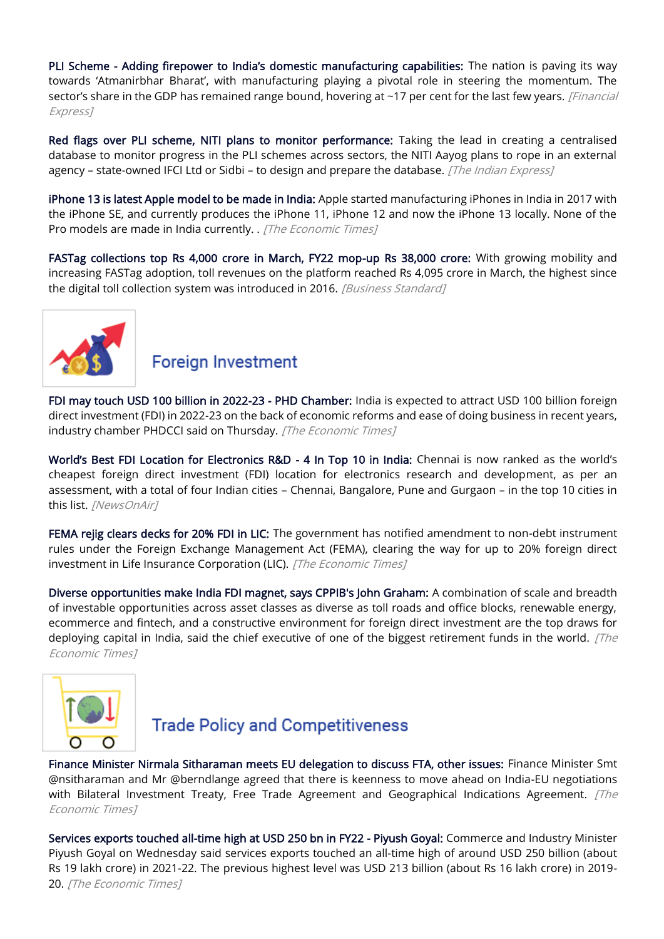PLI Scheme - [Adding firepower to India's domestic manufacturing capabilities:](https://www.financialexpress.com/industry/pli-scheme-adding-firepower-to-indias-domestic-manufacturing-capabilities/2489278/) The nation is paving its way towards 'Atmanirbhar Bharat', with manufacturing playing a pivotal role in steering the momentum. The sector's share in the GDP has remained range bound, hovering at ~17 per cent for the last few years. [Financial Express]

[Red flags over PLI scheme, NITI plans to monitor performance:](https://indianexpress.com/article/business/economy/red-flags-over-pli-scheme-niti-plans-to-monitor-performance-7861991/) Taking the lead in creating a centralised database to monitor progress in the PLI schemes across sectors, the NITI Aayog plans to rope in an external agency – state-owned IFCI Ltd or Sidbi – to design and prepare the database. [The Indian Express]

[iPhone 13 is latest Apple model to be made in India:](https://economictimes.indiatimes.com/industry/cons-products/electronics/iphone-13-is-latest-apple-model-to-be-made-in-india/articleshow/90768862.cms) Apple started manufacturing iPhones in India in 2017 with the iPhone SE, and currently produces the iPhone 11, iPhone 12 and now the iPhone 13 locally. None of the Pro models are made in India currently. . [The Economic Times]

[FASTag collections top Rs 4,000 crore in March, FY22 mop-up Rs 38,000 crore:](https://www.business-standard.com/article/economy-policy/fastag-collections-top-rs-4-000-crore-in-march-fy22-mop-up-rs-38-000-crore-122040801066_1.html) With growing mobility and increasing FASTag adoption, toll revenues on the platform reached Rs 4,095 crore in March, the highest since the digital toll collection system was introduced in 2016. [Business Standard]



#### **Foreign Investment**

[FDI may touch USD 100 billion in 2022-23 - PHD Chamber:](https://economictimes.indiatimes.com/news/economy/finance/fdi-may-touch-usd-100-billion-in-2022-23-phd-chamber/articleshow/90848708.cms) India is expected to attract USD 100 billion foreign direct investment (FDI) in 2022-23 on the back of economic reforms and ease of doing business in recent years, industry chamber PHDCCI said on Thursday. [The Economic Times]

[World's Best FDI Location for Electronics R&D](https://newsonair.com/2022/04/12/worlds-best-fdi-location-for-electronics-rd-4-in-top-10-in-india/) - 4 In Top 10 in India: Chennai is now ranked as the world's cheapest foreign direct investment (FDI) location for electronics research and development, as per an assessment, with a total of four Indian cities – Chennai, Bangalore, Pune and Gurgaon – in the top 10 cities in this list. [NewsOnAir]

[FEMA rejig clears decks for 20% FDI in LIC:](https://economictimes.indiatimes.com/news/economy/policy/fema-rejig-clears-decks-for-20-fdi-in-lic/articleshow/90829503.cms) The government has notified amendment to non-debt instrument rules under the Foreign Exchange Management Act (FEMA), clearing the way for up to 20% foreign direct investment in Life Insurance Corporation (LIC). [The Economic Times]

[Diverse opportunities make India FDI magnet, says CPPIB's John Graham:](https://economictimes.indiatimes.com/news/economy/finance/diverse-opportunities-make-india-fdi-magnet-says-cppibs-john-graham/articleshow/90810108.cms) A combination of scale and breadth of investable opportunities across asset classes as diverse as toll roads and office blocks, renewable energy, ecommerce and fintech, and a constructive environment for foreign direct investment are the top draws for deploying capital in India, said the chief executive of one of the biggest retirement funds in the world.  $[The$ Economic Times]



## **Trade Policy and Competitiveness**

[Finance Minister Nirmala Sitharaman meets EU delegation to discuss FTA, other issues:](https://economictimes.indiatimes.com/news/economy/foreign-trade/finance-minister-nirmala-sitharaman-meets-eu-delegation-to-discuss-fta-other-issues/articleshow/90805676.cms) Finance Minister Smt @nsitharaman and Mr @berndlange agreed that there is keenness to move ahead on India-EU negotiations with Bilateral Investment Treaty, Free Trade Agreement and Geographical Indications Agreement.  $[The$ Economic Times]

[Services exports touched all-time high at USD 250 bn in FY22 - Piyush Goyal:](https://economictimes.indiatimes.com/news/economy/foreign-trade/services-exports-touched-all-time-high-at-usd-250-bn-in-fy22-piyush-goyal/articleshow/90829094.cms) Commerce and Industry Minister Piyush Goyal on Wednesday said services exports touched an all-time high of around USD 250 billion (about Rs 19 lakh crore) in 2021-22. The previous highest level was USD 213 billion (about Rs 16 lakh crore) in 2019- 20. [The Economic Times]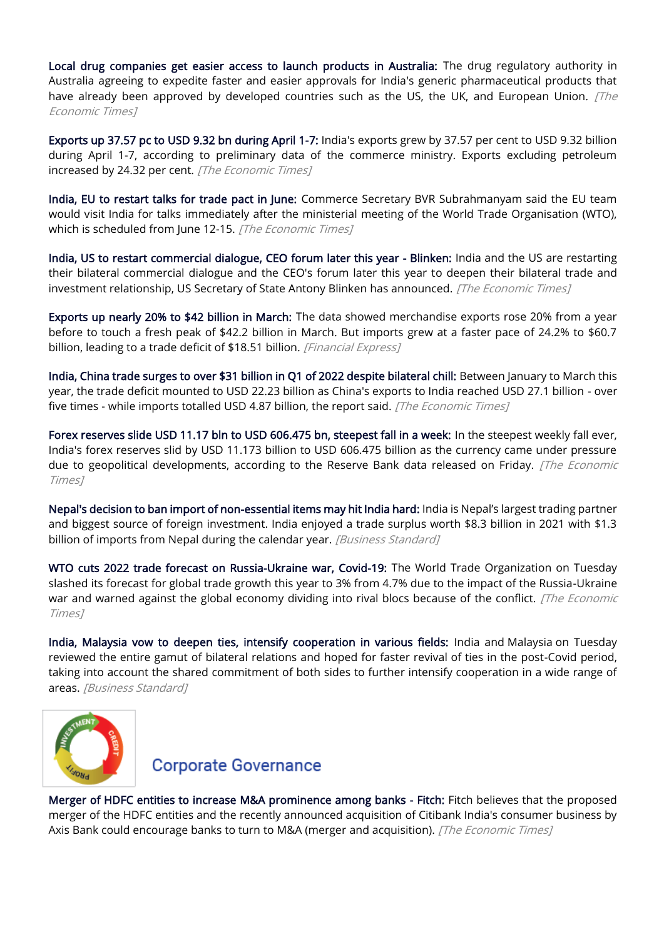[Local drug companies get easier access to launch products in Australia:](https://economictimes.indiatimes.com/industry/healthcare/biotech/pharmaceuticals/local-drug-companies-get-easier-access-to-launch-products-in-australia/articleshow/90830568.cms) The drug regulatory authority in Australia agreeing to expedite faster and easier approvals for India's generic pharmaceutical products that have already been approved by developed countries such as the US, the UK, and European Union. *[The* Economic Times]

[Exports up 37.57 pc to USD 9.32 bn during April 1-7:](https://economictimes.indiatimes.com/news/economy/foreign-trade/exports-up-37-57-pc-to-usd-9-32-bn-during-april-1-7/articleshow/90733374.cms) India's exports grew by 37.57 per cent to USD 9.32 billion during April 1-7, according to preliminary data of the commerce ministry. Exports excluding petroleum increased by 24.32 per cent. [The Economic Times]

[India, EU to restart talks for trade pact in June:](https://economictimes.indiatimes.com/news/economy/foreign-trade/india-eu-to-restart-talks-for-trade-pact-in-june/articleshow/90828105.cms) Commerce Secretary BVR Subrahmanyam said the EU team would visit India for talks immediately after the ministerial meeting of the World Trade Organisation (WTO), which is scheduled from June 12-15. [The Economic Times]

[India, US to restart commercial dialogue, CEO forum later this year - Blinken:](https://economictimes.indiatimes.com/news/economy/foreign-trade/india-us-to-restart-commercial-dialogue-ceo-forum-later-this-year-blinken/articleshow/90792390.cms) India and the US are restarting their bilateral commercial dialogue and the CEO's forum later this year to deepen their bilateral trade and investment relationship, US Secretary of State Antony Blinken has announced. [The Economic Times]

[Exports up nearly 20% to \\$42 billion in March:](https://www.financialexpress.com/economy/exports-up-nearly-20-to-42-billion-in-march/2491232/) The data showed merchandise exports rose 20% from a year before to touch a fresh peak of \$42.2 billion in March. But imports grew at a faster pace of 24.2% to \$60.7 billion, leading to a trade deficit of \$18.51 billion. [Financial Express]

[India, China trade surges to over \\$31 billion in Q1 of 2022 despite bilateral chill:](https://economictimes.indiatimes.com/news/economy/foreign-trade/india-china-trade-surges-to-over-31-billion-in-q1-of-2022-despite-bilateral-chill/articleshow/90826200.cms) Between January to March this year, the trade deficit mounted to USD 22.23 billion as China's exports to India reached USD 27.1 billion - over five times - while imports totalled USD 4.87 billion, the report said. [The Economic Times]

[Forex reserves slide USD 11.17 bln to USD 606.475 bn, steepest fall in a week:](https://economictimes.indiatimes.com/news/economy/indicators/forex-reserves-slide-usd-11-17-bln-to-usd-606-475-bn-steepest-fall-in-a-week/articleshow/90731593.cms) In the steepest weekly fall ever, India's forex reserves slid by USD 11.173 billion to USD 606.475 billion as the currency came under pressure due to geopolitical developments, according to the Reserve Bank data released on Friday. [The Economic Times]

[Nepal's decision to ban import of non-essential items may hit India hard:](https://www.business-standard.com/article/economy-policy/nepal-s-decision-to-ban-import-of-non-essential-items-may-hit-india-hard-122041101430_1.html) India is Nepal's largest trading partner and biggest source of foreign investment. India enjoyed a trade surplus worth \$8.3 billion in 2021 with \$1.3 billion of imports from Nepal during the calendar year. [Business Standard]

[WTO cuts 2022 trade forecast on Russia-Ukraine war, Covid-19:](https://economictimes.indiatimes.com/news/economy/foreign-trade/wto-cuts-2022-trade-forecast-on-russia-ukraine-war-covid-19/articleshow/90800559.cms) The World Trade Organization on Tuesday slashed its forecast for global trade growth this year to 3% from 4.7% due to the impact of the Russia-Ukraine war and warned against the global economy dividing into rival blocs because of the conflict. [The Economic Times]

[India, Malaysia vow to deepen ties, intensify cooperation in various fields:](https://www.business-standard.com/article/economy-policy/india-malaysia-vow-to-deepen-ties-intensify-cooperation-in-various-fields-122041201161_1.html) India and Malaysia on Tuesday reviewed the entire gamut of bilateral relations and hoped for faster revival of ties in the post-Covid period, taking into account the shared commitment of both sides to further intensify cooperation in a wide range of areas. [Business Standard]



#### **Corporate Governance**

[Merger of HDFC entities to increase M&A prominence among banks - Fitch:](https://economictimes.indiatimes.com/industry/banking/finance/banking/merger-of-hdfc-entities-to-increase-ma-prominence-among-banks-fitch/articleshow/90800157.cms) Fitch believes that the proposed merger of the HDFC entities and the recently announced acquisition of Citibank India's consumer business by Axis Bank could encourage banks to turn to M&A (merger and acquisition). [The Economic Times]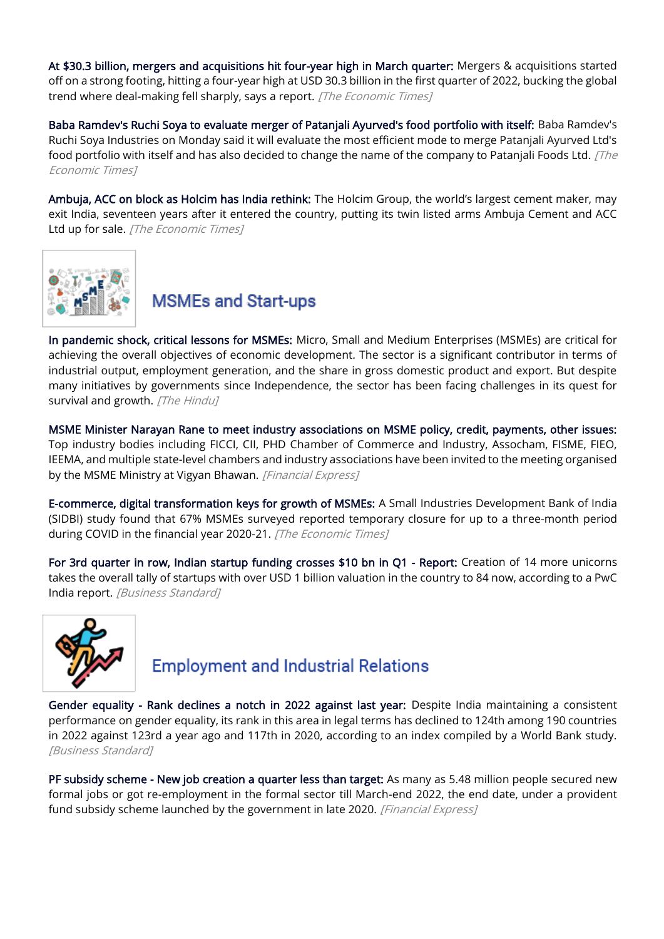[At \\$30.3 billion, mergers and acquisitions hit four-year high in March quarter:](https://economictimes.indiatimes.com/news/economy/finance/at-30-3-billion-mergers-and-acquisitions-hit-four-year-high-in-march-quarter/articleshow/90782408.cms) Mergers & acquisitions started off on a strong footing, hitting a four-year high at USD 30.3 billion in the first quarter of 2022, bucking the global trend where deal-making fell sharply, says a report. [The Economic Times]

[Baba Ramdev's Ruchi Soya to evaluate merger of Patanjali Ayurved's food portfolio with itself:](https://economictimes.indiatimes.com/industry/cons-products/fmcg/baba-ramdevs-ruchi-soya-to-evaluate-merger-of-patanjali-ayurveds-food-portfolio-with-itself/articleshow/90778056.cms) Baba Ramdev's Ruchi Soya Industries on Monday said it will evaluate the most efficient mode to merge Patanjali Ayurved Ltd's food portfolio with itself and has also decided to change the name of the company to Patanjali Foods Ltd.  $/$ The Economic Times]

[Ambuja, ACC on block as Holcim has India rethink:](https://economictimes.indiatimes.com/industry/indl-goods/svs/cement/ambuja-acc-on-block-as-holcim-has-india-rethink/articleshow/90832389.cms) The Holcim Group, the world's largest cement maker, may exit India, seventeen years after it entered the country, putting its twin listed arms Ambuja Cement and ACC Ltd up for sale. [The Economic Times]



**MSMEs and Start-ups** 

[In pandemic shock, critical lessons for MSMEs:](https://www.thehindu.com/opinion/op-ed/in-pandemic-shock-critical-lessons-for-msmes/article65312076.ece/amp/) Micro, Small and Medium Enterprises (MSMEs) are critical for achieving the overall objectives of economic development. The sector is a significant contributor in terms of industrial output, employment generation, and the share in gross domestic product and export. But despite many initiatives by governments since Independence, the sector has been facing challenges in its quest for survival and growth. [The Hindu]

[MSME Minister Narayan Rane to meet industry associations on MSME policy, credit, payments, other issues:](https://www.financialexpress.com/industry/sme/msme-eodb-msme-minister-narayan-rane-to-meet-industry-associations-on-msme-policy-credit-payments-other-issues/2489842/) Top industry bodies including FICCI, CII, PHD Chamber of Commerce and Industry, Assocham, FISME, FIEO, IEEMA, and multiple state-level chambers and industry associations have been invited to the meeting organised by the MSME Ministry at Vigyan Bhawan. [Financial Express]

[E-commerce, digital transformation keys for growth of MSMEs:](https://economictimes.indiatimes.com/small-biz/sme-sector/e-commerce-digital-transformation-keys-for-growth-of-msmes/articleshow/90741524.cms) A Small Industries Development Bank of India (SIDBI) study found that 67% MSMEs surveyed reported temporary closure for up to a three-month period during COVID in the financial year 2020-21. [The Economic Times]

[For 3rd quarter in row, Indian startup funding crosses \\$10 bn in Q1 - Report:](https://www.business-standard.com/article/companies/for-3rd-quarter-in-row-indian-startup-funding-crosses-10-bn-in-q1-report-122041000519_1.html) Creation of 14 more unicorns takes the overall tally of startups with over USD 1 billion valuation in the country to 84 now, according to a PwC India report. [Business Standard]



## **Employment and Industrial Relations**

[Gender equality - Rank declines a notch in 2022 against last year:](https://www.business-standard.com/article/economy-policy/gender-equality-rank-declines-a-notch-in-2022-against-last-year-122041200018_1.html) Despite India maintaining a consistent performance on gender equality, its rank in this area in legal terms has declined to 124th among 190 countries in 2022 against 123rd a year ago and 117th in 2020, according to an index compiled by a World Bank study. [Business Standard]

[PF subsidy scheme - New job creation a quarter less than target:](https://www.financialexpress.com/economy/pf-subsidy-scheme-new-job-creation-a-quarter-less-than-target/2486210/) As many as 5.48 million people secured new formal jobs or got re-employment in the formal sector till March-end 2022, the end date, under a provident fund subsidy scheme launched by the government in late 2020. [Financial Express]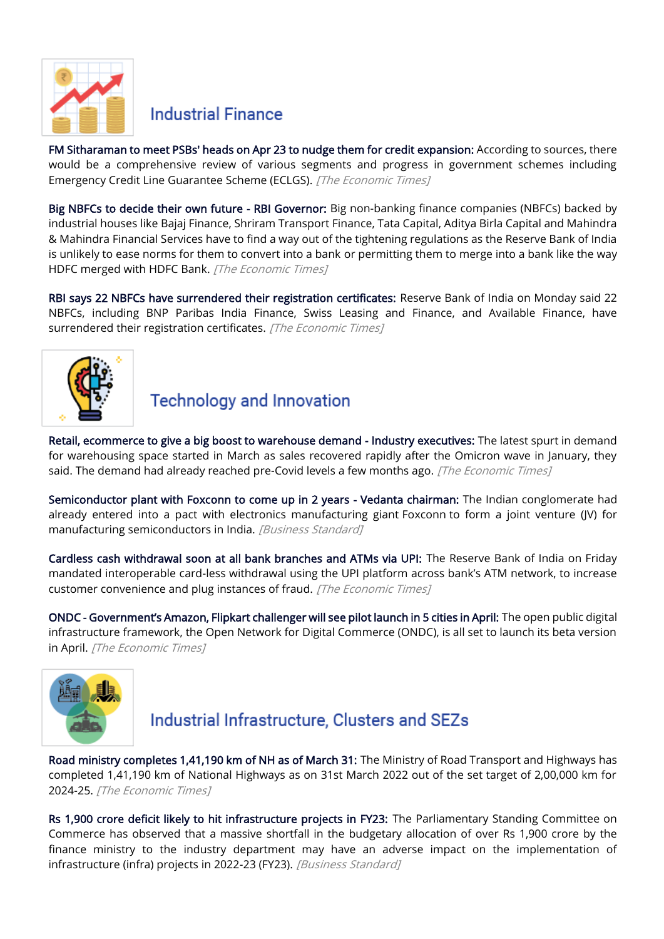

#### **Industrial Finance**

[FM Sitharaman to meet PSBs' heads on Apr 23 to nudge them for credit expansion:](https://economictimes.indiatimes.com/news/economy/policy/fm-sitharaman-to-meet-psbs-heads-on-apr-23-to-nudge-them-for-credit-expansion/articleshow/90760408.cms) According to sources, there would be a comprehensive review of various segments and progress in government schemes including Emergency Credit Line Guarantee Scheme (ECLGS). [The Economic Times]

[Big NBFCs to decide their own future - RBI Governor:](https://economictimes.indiatimes.com/industry/banking/finance/banking/big-nbfcs-to-decide-their-own-future-rbi-governor/articleshow/90735863.cms) Big non-banking finance companies (NBFCs) backed by industrial houses like Bajaj Finance, Shriram Transport Finance, Tata Capital, Aditya Birla Capital and Mahindra & Mahindra Financial Services have to find a way out of the tightening regulations as the Reserve Bank of India is unlikely to ease norms for them to convert into a bank or permitting them to merge into a bank like the way HDFC merged with HDFC Bank. [The Economic Times]

[RBI says 22 NBFCs have surrendered their registration certificates:](https://economictimes.indiatimes.com/news/economy/policy/rbi-says-22-nbfcs-have-surrendered-their-registration-certificates/articleshow/90784427.cms) Reserve Bank of India on Monday said 22 NBFCs, including BNP Paribas India Finance, Swiss Leasing and Finance, and Available Finance, have surrendered their registration certificates. [The Economic Times]



# **Technology and Innovation**

[Retail, ecommerce to give a big boost to warehouse demand - Industry executives:](https://economictimes.indiatimes.com/industry/services/retail/retail-ecommerce-to-give-a-big-boost-to-warehouse-demand-industry-executives/articleshow/90807497.cms) The latest spurt in demand for warehousing space started in March as sales recovered rapidly after the Omicron wave in January, they said. The demand had already reached pre-Covid levels a few months ago. [The Economic Times]

[Semiconductor plant with Foxconn to come up in 2 years - Vedanta chairman:](https://www.business-standard.com/article/companies/semiconductor-plant-with-foxconn-to-come-up-in-2-years-vedanta-chairman-122041201141_1.html) The Indian conglomerate had already entered into a pact with electronics manufacturing giant Foxconn to form a joint venture (JV) for manufacturing semiconductors in India. [Business Standard]

[Cardless cash withdrawal soon at all bank branches and ATMs via UPI:](https://economictimes.indiatimes.com/news/economy/policy/cardless-cash-withdrawal-soon-at-all-bank-branch-and-atms-via-upi/articleshow/90721074.cms) The Reserve Bank of India on Friday mandated interoperable card-less withdrawal using the UPI platform across bank's ATM network, to increase customer convenience and plug instances of fraud. [The Economic Times]

ONDC - [Government's Amazon, Flipkart challenger will see pilot launch in 5 cities in April:](https://economictimes.indiatimes.com/small-biz/sme-sector/ondc-governments-amazon-flipkart-challenger-will-see-pilot-launch-in-5-cities-in-april/articleshow/90698190.cms) The open public digital infrastructure framework, the Open Network for Digital Commerce (ONDC), is all set to launch its beta version in April. [The Economic Times]



# Industrial Infrastructure, Clusters and SEZs

[Road ministry completes 1,41,190 km of NH as of March 31:](https://economictimes.indiatimes.com/news/economy/infrastructure/road-ministry-completes-141190-km-of-nh-as-of-march-31/articleshow/90841572.cms) The Ministry of Road Transport and Highways has completed 1,41,190 km of National Highways as on 31st March 2022 out of the set target of 2,00,000 km for 2024-25. [The Economic Times]

[Rs 1,900 crore deficit likely to hit infrastructure projects in FY23:](https://www.business-standard.com/article/economy-policy/rs-1-900-crore-deficit-likely-to-hit-infrastructure-projects-in-fy23-122041300013_1.html) The Parliamentary Standing Committee on Commerce has observed that a massive shortfall in the budgetary allocation of over Rs 1,900 crore by the finance ministry to the industry department may have an adverse impact on the implementation of infrastructure (infra) projects in 2022-23 (FY23). [Business Standard]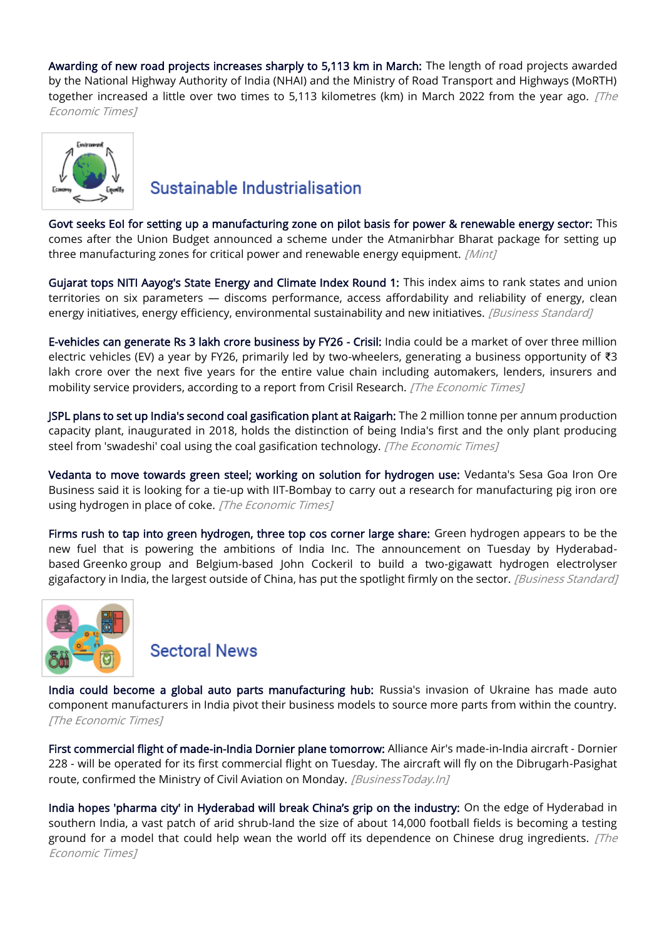[Awarding of new road projects increases sharply to 5,113 km in March:](https://economictimes.indiatimes.com/news/economy/infrastructure/awarding-of-new-road-projects-increases-sharply-to-5113-km-in-march/articleshow/90779605.cms) The length of road projects awarded by the National Highway Authority of India (NHAI) and the Ministry of Road Transport and Highways (MoRTH) together increased a little over two times to 5,113 kilometres (km) in March 2022 from the year ago. *[The* Economic Times]



### Sustainable Industrialisation

[Govt seeks EoI for setting up a manufacturing zone on pilot basis for power & renewable energy sector:](https://www.livemint.com/industry/energy/govt-seeks-eoi-for-setting-up-a-manufacturing-zone-on-pilot-basis-for-power-renewable-energy-sector-11649950271129.html) This comes after the Union Budget announced a scheme under the Atmanirbhar Bharat package for setting up three manufacturing zones for critical power and renewable energy equipment. [Mint]

[Gujarat tops NITI Aayog's State Energy and Climate Index Round 1:](https://www.business-standard.com/article/economy-policy/gujarat-tops-niti-aayog-s-state-energy-and-climate-index-round-1-122041200014_1.html) This index aims to rank states and union territories on six parameters — discoms performance, access affordability and reliability of energy, clean energy initiatives, energy efficiency, environmental sustainability and new initiatives. *[Business Standard]* 

[E-vehicles can generate Rs 3 lakh crore business by FY26 - Crisil:](https://economictimes.indiatimes.com/industry/renewables/e-vehicles-can-generate-rs-3-lakh-crore-business-by-fy26-crisil/articleshow/90807578.cms) India could be a market of over three million electric vehicles (EV) a year by FY26, primarily led by two-wheelers, generating a business opportunity of ₹3 lakh crore over the next five years for the entire value chain including automakers, lenders, insurers and mobility service providers, according to a report from Crisil Research. [The Economic Times]

[JSPL plans to set up India's second coal gasification plant at Raigarh:](https://economictimes.indiatimes.com/industry/indl-goods/svs/steel/jspl-plans-to-set-up-indias-second-coal-gasification-plant-at-raigarh/articleshow/90761020.cms) The 2 million tonne per annum production capacity plant, inaugurated in 2018, holds the distinction of being India's first and the only plant producing steel from 'swadeshi' coal using the coal gasification technology. [The Economic Times]

[Vedanta to move towards green steel; working on solution for hydrogen use:](https://economictimes.indiatimes.com/industry/indl-goods/svs/steel/vedanta-to-move-towards-green-steel-working-on-solution-for-hydrogen-use/articleshow/90759078.cms) Vedanta's Sesa Goa Iron Ore Business said it is looking for a tie-up with IIT-Bombay to carry out a research for manufacturing pig iron ore using hydrogen in place of coke. [The Economic Times]

[Firms rush to tap into green hydrogen, three top cos corner large share:](https://www.business-standard.com/article/companies/firms-rush-to-tap-into-green-hydrogen-three-top-cos-corner-large-share-122041201127_1.html) Green hydrogen appears to be the new fuel that is powering the ambitions of India Inc. The announcement on Tuesday by Hyderabadbased Greenko group and Belgium-based John Cockeril to build a two-gigawatt hydrogen electrolyser gigafactory in India, the largest outside of China, has put the spotlight firmly on the sector. [Business Standard]



#### **Sectoral News**

[India could become a global auto parts manufacturing hub:](https://economictimes.indiatimes.com/industry/auto/auto-news/india-could-become-a-global-auto-parts-manufacturing-hub/articleshow/90751887.cms) Russia's invasion of Ukraine has made auto component manufacturers in India pivot their business models to source more parts from within the country. [The Economic Times]

[First commercial flight of made-in-India Dornier plane tomorrow:](https://www.businesstoday.in/industry/aviation/story/first-commercial-flight-of-made-in-india-dornier-plane-tomorrow-329426-2022-04-11) Alliance Air's made-in-India aircraft - Dornier 228 - will be operated for its first commercial flight on Tuesday. The aircraft will fly on the Dibrugarh-Pasighat route, confirmed the Ministry of Civil Aviation on Monday. [BusinessToday.In]

[India hopes 'pharma city' in Hyderabad will break China's grip on the industry:](https://economictimes.indiatimes.com/small-biz/sme-sector/india-hopes-pharma-city-will-break-chinas-grip-on-the-industry/articleshow/90794131.cms) On the edge of Hyderabad in southern India, a vast patch of arid shrub-land the size of about 14,000 football fields is becoming a testing ground for a model that could help wean the world off its dependence on Chinese drug ingredients.  $[The$ Economic Times]